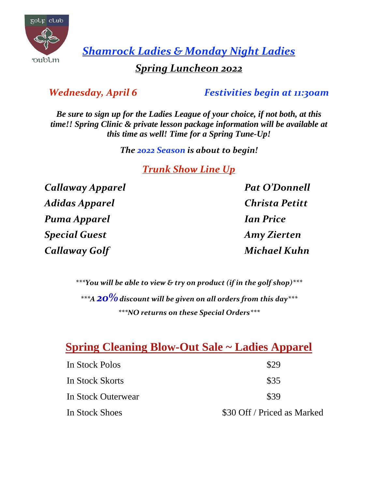

*Shamrock Ladies & Monday Night Ladies*

### *Spring Luncheon 2022*

*Wednesday, April 6 Festivities begin at 11:30am*

*Be sure to sign up for the Ladies League of your choice, if not both, at this time!! Spring Clinic & private lesson package information will be available at this time as well! Time for a Spring Tune-Up!*

*The 2022 Season is about to begin!*

*Trunk Show Line Up*

*Callaway Apparel Pat O'Donnell Adidas Apparel Christa Petitt Puma Apparel Ian Price Special Guest Amy Zierten Callaway Golf Michael Kuhn*

*\*\*\*You will be able to view & try on product (if in the golf shop)\*\*\* \*\*\*A 20% discount will be given on all orders from this day\*\*\* \*\*\*NO returns on these Special Orders\*\*\**

## **Spring Cleaning Blow-Out Sale ~ Ladies Apparel**

| In Stock Polos     | \$29                        |
|--------------------|-----------------------------|
| In Stock Skorts    | \$35                        |
| In Stock Outerwear | \$39                        |
| In Stock Shoes     | \$30 Off / Priced as Marked |